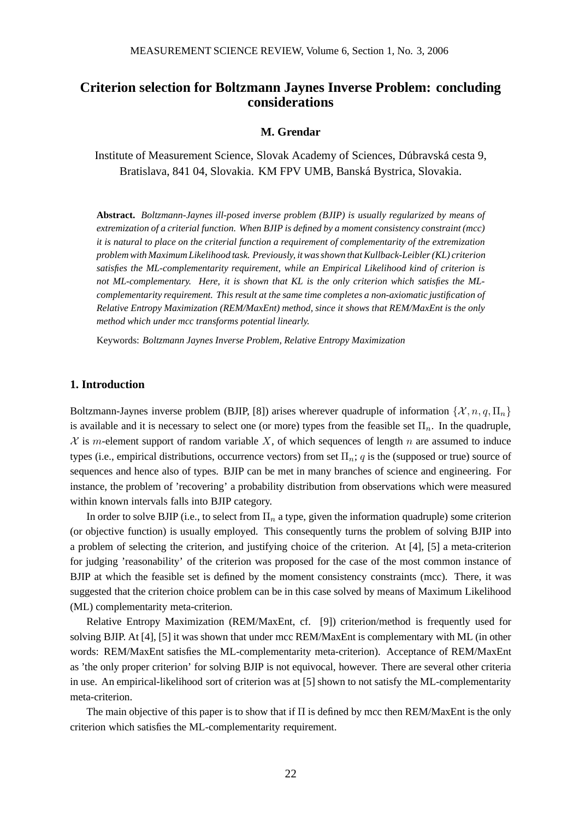# **Criterion selection for Boltzmann Jaynes Inverse Problem: concluding considerations**

#### **M. Grendar**

Institute of Measurement Science, Slovak Academy of Sciences, Dúbravská cesta 9, Bratislava, 841 04, Slovakia. KM FPV UMB, Banska Bystrica, Slovakia. ´

**Abstract.** *Boltzmann-Jaynes ill-posed inverse problem (BJIP) is usually regularized by means of extremization of a criterial function. When BJIP is defined by a moment consistency constraint (mcc) it is natural to place on the criterial function a requirement of complementarity of the extremization problem with Maximum Likelihood task. Previously, it was shown that Kullback-Leibler (KL) criterion satisfies the ML-complementarity requirement, while an Empirical Likelihood kind of criterion is not ML-complementary. Here, it is shown that KL is the only criterion which satisfies the MLcomplementarity requirement. This result at the same time completes a non-axiomatic justification of Relative Entropy Maximization (REM/MaxEnt) method, since it shows that REM/MaxEnt is the only method which under mcc transforms potential linearly.*

Keywords: *Boltzmann Jaynes Inverse Problem, Relative Entropy Maximization*

## **1. Introduction**

Boltzmann-Jaynes inverse problem (BJIP, [8]) arises wherever quadruple of information  $\{\mathcal{X}, n, q, \Pi_n\}$ is available and it is necessary to select one (or more) types from the feasible set  $\Pi_n$ . In the quadruple,  $X$  is m-element support of random variable X, of which sequences of length n are assumed to induce types (i.e., empirical distributions, occurrence vectors) from set  $\Pi_n$ ; q is the (supposed or true) source of sequences and hence also of types. BJIP can be met in many branches of science and engineering. For instance, the problem of 'recovering' a probability distribution from observations which were measured within known intervals falls into BJIP category.

In order to solve BJIP (i.e., to select from  $\Pi_n$  a type, given the information quadruple) some criterion (or objective function) is usually employed. This consequently turns the problem of solving BJIP into a problem of selecting the criterion, and justifying choice of the criterion. At [4], [5] a meta-criterion for judging 'reasonability' of the criterion was proposed for the case of the most common instance of BJIP at which the feasible set is defined by the moment consistency constraints (mcc). There, it was suggested that the criterion choice problem can be in this case solved by means of Maximum Likelihood (ML) complementarity meta-criterion.

Relative Entropy Maximization (REM/MaxEnt, cf. [9]) criterion/method is frequently used for solving BJIP. At [4], [5] it was shown that under mcc REM/MaxEnt is complementary with ML (in other words: REM/MaxEnt satisfies the ML-complementarity meta-criterion). Acceptance of REM/MaxEnt as 'the only proper criterion' for solving BJIP is not equivocal, however. There are several other criteria in use. An empirical-likelihood sort of criterion was at [5] shown to not satisfy the ML-complementarity meta-criterion.

The main objective of this paper is to show that if Π is defined by mcc then REM/MaxEnt is the only criterion which satisfies the ML-complementarity requirement.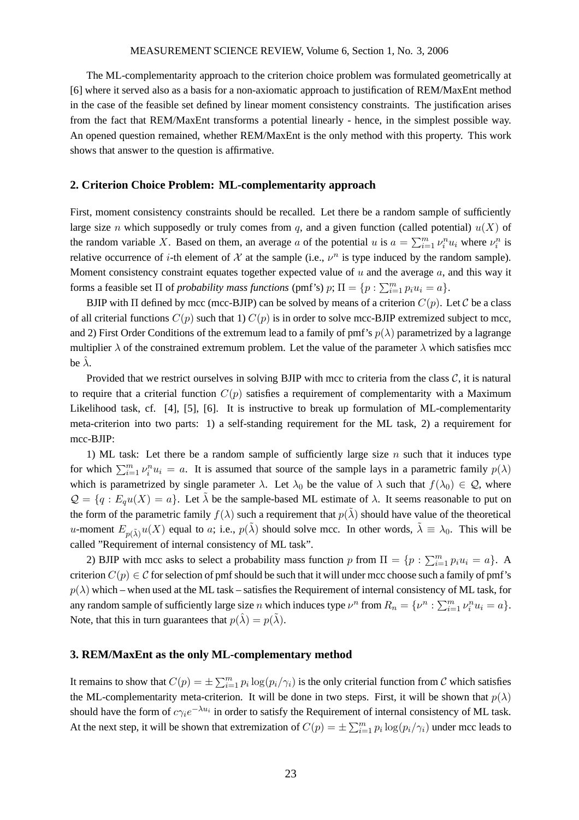#### MEASUREMENT SCIENCE REVIEW, Volume 6, Section 1, No. 3, 2006

The ML-complementarity approach to the criterion choice problem was formulated geometrically at [6] where it served also as a basis for a non-axiomatic approach to justification of REM/MaxEnt method in the case of the feasible set defined by linear moment consistency constraints. The justification arises from the fact that REM/MaxEnt transforms a potential linearly - hence, in the simplest possible way. An opened question remained, whether REM/MaxEnt is the only method with this property. This work shows that answer to the question is affirmative.

#### **2. Criterion Choice Problem: ML-complementarity approach**

First, moment consistency constraints should be recalled. Let there be a random sample of sufficiently large size n which supposedly or truly comes from q, and a given function (called potential)  $u(X)$  of the random variable X. Based on them, an average a of the potential u is  $a = \sum_{i=1}^{m} v_i^n u_i$  where  $v_i^n$  is relative occurrence of *i*-th element of X at the sample (i.e.,  $v^n$  is type induced by the random sample). Moment consistency constraint equates together expected value of  $u$  and the average  $a$ , and this way it forms a feasible set  $\Pi$  of *probability mass functions* (pmf's)  $p$ ;  $\Pi = \{p : \sum_{i=1}^{m} p_i u_i = a\}$ .

BJIP with  $\Pi$  defined by mcc (mcc-BJIP) can be solved by means of a criterion  $C(p)$ . Let C be a class of all criterial functions  $C(p)$  such that 1)  $C(p)$  is in order to solve mcc-BJIP extremized subject to mcc, and 2) First Order Conditions of the extremum lead to a family of pmf's  $p(\lambda)$  parametrized by a lagrange multiplier  $\lambda$  of the constrained extremum problem. Let the value of the parameter  $\lambda$  which satisfies mcc be  $\lambda$ .

Provided that we restrict ourselves in solving BJIP with mcc to criteria from the class  $C$ , it is natural to require that a criterial function  $C(p)$  satisfies a requirement of complementarity with a Maximum Likelihood task, cf. [4], [5], [6]. It is instructive to break up formulation of ML-complementarity meta-criterion into two parts: 1) a self-standing requirement for the ML task, 2) a requirement for mcc-BJIP:

1) ML task: Let there be a random sample of sufficiently large size  $n$  such that it induces type for which  $\sum_{i=1}^m v_i^n u_i = a$ . It is assumed that source of the sample lays in a parametric family  $p(\lambda)$ which is parametrized by single parameter  $\lambda$ . Let  $\lambda_0$  be the value of  $\lambda$  such that  $f(\lambda_0) \in \mathcal{Q}$ , where  $\mathcal{Q} = \{q : E_q u(X) = a\}.$  Let  $\tilde{\lambda}$  be the sample-based ML estimate of  $\lambda$ . It seems reasonable to put on the form of the parametric family  $f(\lambda)$  such a requirement that  $p(\tilde{\lambda})$  should have value of the theoretical u-moment  $E_{p(\tilde{\lambda})}u(X)$  equal to a; i.e.,  $p(\tilde{\lambda})$  should solve mcc. In other words,  $\tilde{\lambda} \equiv \lambda_0$ . This will be called "Requirement of internal consistency of ML task".

2) BJIP with mcc asks to select a probability mass function p from  $\Pi = \{p : \sum_{i=1}^{m} p_i u_i = a\}$ . A criterion  $C(p) \in \mathcal{C}$  for selection of pmf should be such that it will under mcc choose such a family of pmf's  $p(\lambda)$  which – when used at the ML task – satisfies the Requirement of internal consistency of ML task, for any random sample of sufficiently large size n which induces type  $\nu^n$  from  $R_n = \{ \nu^n : \sum_{i=1}^m \nu_i^n u_i = a \}.$ Note, that this in turn guarantees that  $p(\hat{\lambda}) = p(\tilde{\lambda})$ .

#### **3. REM/MaxEnt as the only ML-complementary method**

It remains to show that  $C(p) = \pm \sum_{i=1}^{m} p_i \log(p_i/\gamma_i)$  is the only criterial function from C which satisfies the ML-complementarity meta-criterion. It will be done in two steps. First, it will be shown that  $p(\lambda)$ should have the form of  $c\gamma_i e^{-\lambda u_i}$  in order to satisfy the Requirement of internal consistency of ML task. At the next step, it will be shown that extremization of  $C(p) = \pm \sum_{i=1}^{m} p_i \log(p_i/\gamma_i)$  under mcc leads to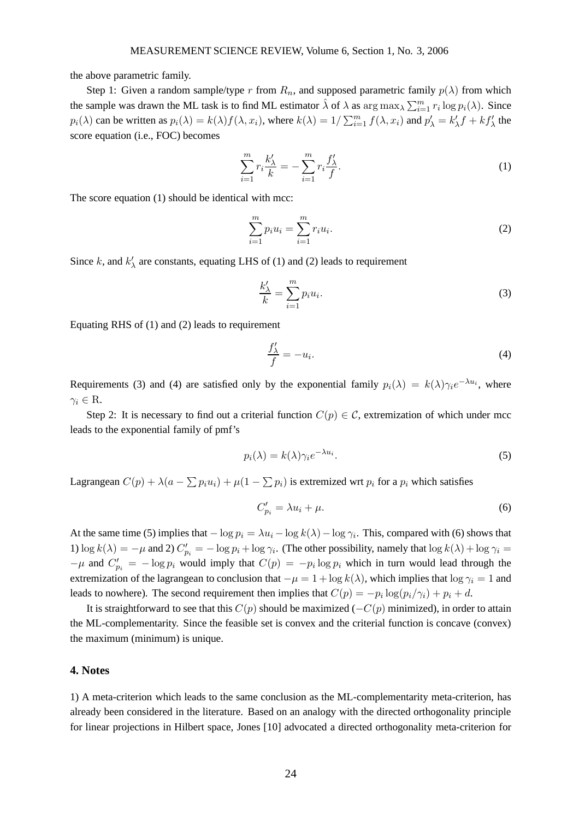the above parametric family.

Step 1: Given a random sample/type r from  $R_n$ , and supposed parametric family  $p(\lambda)$  from which the sample was drawn the ML task is to find ML estimator  $\hat{\lambda}$  of  $\lambda$  as  $\arg \max_{\lambda} \sum_{i=1}^{m} r_i \log p_i(\lambda)$ . Since  $p_i(\lambda)$  can be written as  $p_i(\lambda) = k(\lambda) f(\lambda, x_i)$ , where  $k(\lambda) = 1/\sum_{i=1}^m f(\lambda, x_i)$  and  $p'_\lambda = k'_\lambda$  $\chi'_{\lambda} f + k f'_{\lambda}$  the score equation (i.e., FOC) becomes

$$
\sum_{i=1}^{m} r_i \frac{k'_{\lambda}}{k} = -\sum_{i=1}^{m} r_i \frac{f'_{\lambda}}{f}.
$$
\n(1)

The score equation (1) should be identical with mcc:

$$
\sum_{i=1}^{m} p_i u_i = \sum_{i=1}^{m} r_i u_i.
$$
 (2)

Since k, and  $k'_2$  $\chi'$  are constants, equating LHS of (1) and (2) leads to requirement

$$
\frac{k'_{\lambda}}{k} = \sum_{i=1}^{m} p_i u_i.
$$
\n(3)

Equating RHS of (1) and (2) leads to requirement

$$
\frac{f'_{\lambda}}{f} = -u_i.
$$
\n<sup>(4)</sup>

Requirements (3) and (4) are satisfied only by the exponential family  $p_i(\lambda) = k(\lambda)\gamma_i e^{-\lambda u_i}$ , where  $\gamma_i \in \mathcal{R}$ .

Step 2: It is necessary to find out a criterial function  $C(p) \in \mathcal{C}$ , extremization of which under mcc leads to the exponential family of pmf's

$$
p_i(\lambda) = k(\lambda)\gamma_i e^{-\lambda u_i}.\tag{5}
$$

Lagrangean  $C(p) + \lambda(a - \sum p_i u_i) + \mu(1 - \sum p_i)$  is extremized wrt  $p_i$  for a  $p_i$  which satisfies

$$
C'_{p_i} = \lambda u_i + \mu. \tag{6}
$$

At the same time (5) implies that  $-\log p_i = \lambda u_i - \log k(\lambda) - \log \gamma_i$ . This, compared with (6) shows that 1)  $\log k(\lambda) = -\mu$  and 2)  $C'_{p_i} = -\log p_i + \log \gamma_i$ . (The other possibility, namely that  $\log k(\lambda) + \log \gamma_i =$  $-\mu$  and  $C'_{p_i} = -\log p_i$  would imply that  $C(p) = -p_i \log p_i$  which in turn would lead through the extremization of the lagrangean to conclusion that  $-\mu = 1 + \log k(\lambda)$ , which implies that  $\log \gamma_i = 1$  and leads to nowhere). The second requirement then implies that  $C(p) = -p_i \log(p_i/\gamma_i) + p_i + d$ .

It is straightforward to see that this  $C(p)$  should be maximized ( $-C(p)$  minimized), in order to attain the ML-complementarity. Since the feasible set is convex and the criterial function is concave (convex) the maximum (minimum) is unique.

#### **4. Notes**

1) A meta-criterion which leads to the same conclusion as the ML-complementarity meta-criterion, has already been considered in the literature. Based on an analogy with the directed orthogonality principle for linear projections in Hilbert space, Jones [10] advocated a directed orthogonality meta-criterion for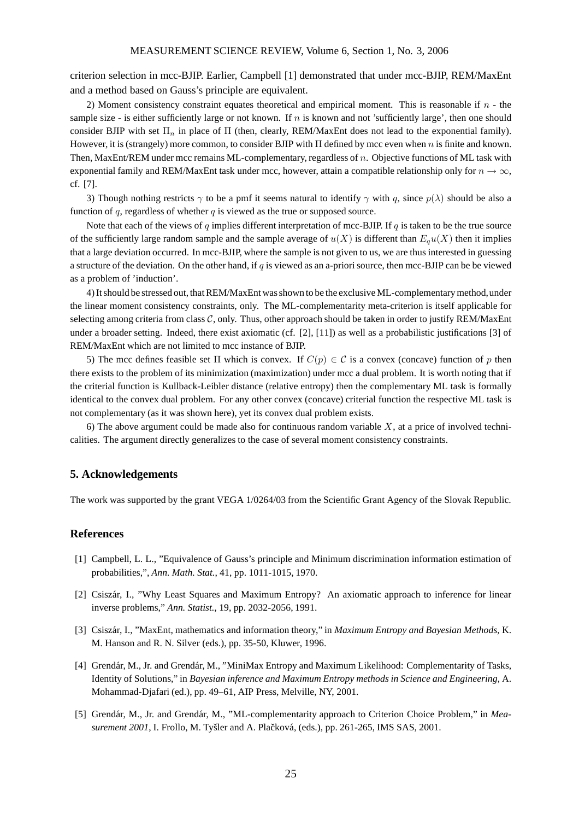criterion selection in mcc-BJIP. Earlier, Campbell [1] demonstrated that under mcc-BJIP, REM/MaxEnt and a method based on Gauss's principle are equivalent.

2) Moment consistency constraint equates theoretical and empirical moment. This is reasonable if  $n$  - the sample size - is either sufficiently large or not known. If  $n$  is known and not 'sufficiently large', then one should consider BJIP with set  $\Pi_n$  in place of  $\Pi$  (then, clearly, REM/MaxEnt does not lead to the exponential family). However, it is (strangely) more common, to consider BJIP with Π defined by mcc even when n is finite and known. Then, MaxEnt/REM under mcc remains ML-complementary, regardless of n. Objective functions of ML task with exponential family and REM/MaxEnt task under mcc, however, attain a compatible relationship only for  $n \to \infty$ , cf. [7].

3) Though nothing restricts  $\gamma$  to be a pmf it seems natural to identify  $\gamma$  with q, since  $p(\lambda)$  should be also a function of q, regardless of whether  $q$  is viewed as the true or supposed source.

Note that each of the views of q implies different interpretation of mcc-BJIP. If q is taken to be the true source of the sufficiently large random sample and the sample average of  $u(X)$  is different than  $E_qu(X)$  then it implies that a large deviation occurred. In mcc-BJIP, where the sample is not given to us, we are thus interested in guessing a structure of the deviation. On the other hand, if q is viewed as an a-priori source, then mcc-BJIP can be be viewed as a problem of 'induction'.

4) It should be stressed out, that REM/MaxEnt was shown to be the exclusive ML-complementary method,under the linear moment consistency constraints, only. The ML-complementarity meta-criterion is itself applicable for selecting among criteria from class  $C$ , only. Thus, other approach should be taken in order to justify REM/MaxEnt under a broader setting. Indeed, there exist axiomatic (cf. [2], [11]) as well as a probabilistic justifications [3] of REM/MaxEnt which are not limited to mcc instance of BJIP.

5) The mcc defines feasible set  $\Pi$  which is convex. If  $C(p) \in \mathcal{C}$  is a convex (concave) function of p then there exists to the problem of its minimization (maximization) under mcc a dual problem. It is worth noting that if the criterial function is Kullback-Leibler distance (relative entropy) then the complementary ML task is formally identical to the convex dual problem. For any other convex (concave) criterial function the respective ML task is not complementary (as it was shown here), yet its convex dual problem exists.

6) The above argument could be made also for continuous random variable  $X$ , at a price of involved technicalities. The argument directly generalizes to the case of several moment consistency constraints.

### **5. Acknowledgements**

The work was supported by the grant VEGA 1/0264/03 from the Scientific Grant Agency of the Slovak Republic.

### **References**

- [1] Campbell, L. L., "Equivalence of Gauss's principle and Minimum discrimination information estimation of probabilities,", *Ann. Math. Stat.*, 41, pp. 1011-1015, 1970.
- [2] Csiszár, I., "Why Least Squares and Maximum Entropy? An axiomatic approach to inference for linear inverse problems," *Ann. Statist.*, 19, pp. 2032-2056, 1991.
- [3] Csiszár, I., "MaxEnt, mathematics and information theory," in *Maximum Entropy and Bayesian Methods*, K. M. Hanson and R. N. Silver (eds.), pp. 35-50, Kluwer, 1996.
- [4] Grendár, M., Jr. and Grendár, M., "MiniMax Entropy and Maximum Likelihood: Complementarity of Tasks, Identity of Solutions," in *Bayesian inference and Maximum Entropy methods in Science and Engineering*, A. Mohammad-Djafari (ed.), pp. 49–61, AIP Press, Melville, NY, 2001.
- [5] Grendár, M., Jr. and Grendár, M., "ML-complementarity approach to Criterion Choice Problem," in *Measurement 2001*, I. Frollo, M. Tyšler and A. Plačková, (eds.), pp. 261-265, IMS SAS, 2001.